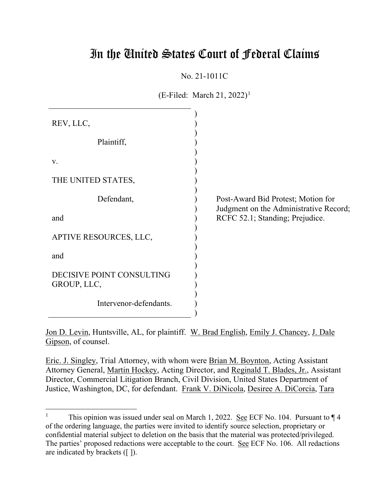# In the United States Court of Federal Claims

No. 21-1011C

 $(E\text{-Filed: March } 21, 2022)^{1}$ 

| REV, LLC,                                |                                                                              |
|------------------------------------------|------------------------------------------------------------------------------|
| Plaintiff,                               |                                                                              |
| V.                                       |                                                                              |
| THE UNITED STATES,                       |                                                                              |
| Defendant,                               | Post-Award Bid Protest; Motion for<br>Judgment on the Administrative Record; |
| and                                      | RCFC 52.1; Standing; Prejudice.                                              |
| APTIVE RESOURCES, LLC,                   |                                                                              |
| and                                      |                                                                              |
| DECISIVE POINT CONSULTING<br>GROUP, LLC, |                                                                              |
| Intervenor-defendants.                   |                                                                              |

Jon D. Levin, Huntsville, AL, for plaintiff. W. Brad English, Emily J. Chancey, J. Dale Gipson, of counsel.

Eric. J. Singley, Trial Attorney, with whom were Brian M. Boynton, Acting Assistant Attorney General, Martin Hockey, Acting Director, and Reginald T. Blades, Jr., Assistant Director, Commercial Litigation Branch, Civil Division, United States Department of Justice, Washington, DC, for defendant. Frank V. DiNicola, Desiree A. DiCorcia, Tara

<sup>&</sup>lt;sup>1</sup> This opinion was issued under seal on March 1, 2022. See ECF No. 104. Pursuant to  $\P$ 4 of the ordering language, the parties were invited to identify source selection, proprietary or confidential material subject to deletion on the basis that the material was protected/privileged. The parties' proposed redactions were acceptable to the court. See ECF No. 106. All redactions are indicated by brackets ([ ]).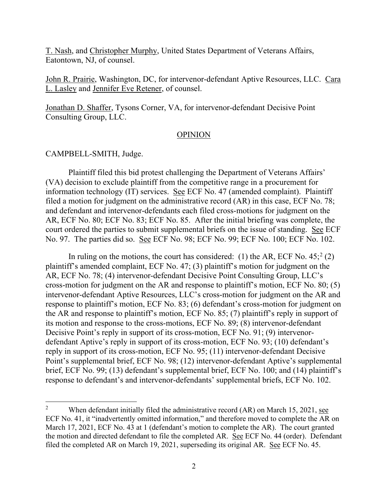T. Nash, and Christopher Murphy, United States Department of Veterans Affairs, Eatontown, NJ, of counsel.

John R. Prairie, Washington, DC, for intervenor-defendant Aptive Resources, LLC. Cara L. Lasley and Jennifer Eve Retener, of counsel.

Jonathan D. Shaffer, Tysons Corner, VA, for intervenor-defendant Decisive Point Consulting Group, LLC.

#### OPINION

CAMPBELL-SMITH, Judge.

Plaintiff filed this bid protest challenging the Department of Veterans Affairs' (VA) decision to exclude plaintiff from the competitive range in a procurement for information technology (IT) services. See ECF No. 47 (amended complaint). Plaintiff filed a motion for judgment on the administrative record (AR) in this case, ECF No. 78; and defendant and intervenor-defendants each filed cross-motions for judgment on the AR, ECF No. 80; ECF No. 83; ECF No. 85. After the initial briefing was complete, the court ordered the parties to submit supplemental briefs on the issue of standing. See ECF No. 97. The parties did so. See ECF No. 98; ECF No. 99; ECF No. 100; ECF No. 102.

In ruling on the motions, the court has considered: (1) the AR, ECF No.  $45$ ;  $2(2)$ plaintiff's amended complaint, ECF No. 47; (3) plaintiff's motion for judgment on the AR, ECF No. 78; (4) intervenor-defendant Decisive Point Consulting Group, LLC's cross-motion for judgment on the AR and response to plaintiff's motion, ECF No. 80; (5) intervenor-defendant Aptive Resources, LLC's cross-motion for judgment on the AR and response to plaintiff's motion, ECF No. 83; (6) defendant's cross-motion for judgment on the AR and response to plaintiff's motion, ECF No. 85; (7) plaintiff's reply in support of its motion and response to the cross-motions, ECF No. 89; (8) intervenor-defendant Decisive Point's reply in support of its cross-motion, ECF No. 91; (9) intervenordefendant Aptive's reply in support of its cross-motion, ECF No. 93; (10) defendant's reply in support of its cross-motion, ECF No. 95; (11) intervenor-defendant Decisive Point's supplemental brief, ECF No. 98; (12) intervenor-defendant Aptive's supplemental brief, ECF No. 99; (13) defendant's supplemental brief, ECF No. 100; and (14) plaintiff's response to defendant's and intervenor-defendants' supplemental briefs, ECF No. 102.

<sup>&</sup>lt;sup>2</sup> When defendant initially filed the administrative record  $(AR)$  on March 15, 2021, see ECF No. 41, it "inadvertently omitted information," and therefore moved to complete the AR on March 17, 2021, ECF No. 43 at 1 (defendant's motion to complete the AR). The court granted the motion and directed defendant to file the completed AR. See ECF No. 44 (order). Defendant filed the completed AR on March 19, 2021, superseding its original AR. See ECF No. 45.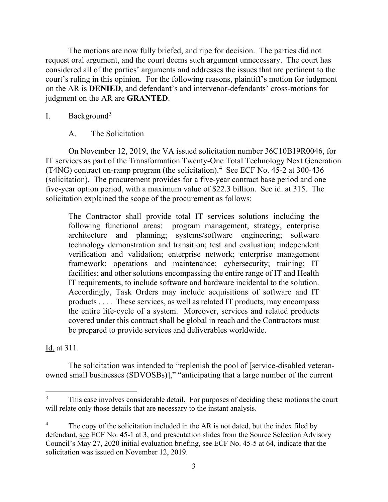The motions are now fully briefed, and ripe for decision. The parties did not request oral argument, and the court deems such argument unnecessary. The court has considered all of the parties' arguments and addresses the issues that are pertinent to the court's ruling in this opinion. For the following reasons, plaintiff's motion for judgment on the AR is **DENIED**, and defendant's and intervenor-defendants' cross-motions for judgment on the AR are **GRANTED**.

## I. Background3

A. The Solicitation

On November 12, 2019, the VA issued solicitation number 36C10B19R0046, for IT services as part of the Transformation Twenty-One Total Technology Next Generation (T4NG) contract on-ramp program (the solicitation).<sup>4</sup> See ECF No. 45-2 at 300-436 (solicitation). The procurement provides for a five-year contract base period and one five-year option period, with a maximum value of \$22.3 billion. See id. at 315. The solicitation explained the scope of the procurement as follows:

The Contractor shall provide total IT services solutions including the following functional areas: program management, strategy, enterprise architecture and planning; systems/software engineering; software technology demonstration and transition; test and evaluation; independent verification and validation; enterprise network; enterprise management framework; operations and maintenance; cybersecurity; training; IT facilities; and other solutions encompassing the entire range of IT and Health IT requirements, to include software and hardware incidental to the solution. Accordingly, Task Orders may include acquisitions of software and IT products . . . . These services, as well as related IT products, may encompass the entire life-cycle of a system. Moreover, services and related products covered under this contract shall be global in reach and the Contractors must be prepared to provide services and deliverables worldwide.

Id. at 311.

The solicitation was intended to "replenish the pool of [service-disabled veteranowned small businesses (SDVOSBs)]," "anticipating that a large number of the current

This case involves considerable detail. For purposes of deciding these motions the court will relate only those details that are necessary to the instant analysis.

The copy of the solicitation included in the AR is not dated, but the index filed by defendant, see ECF No. 45-1 at 3, and presentation slides from the Source Selection Advisory Council's May 27, 2020 initial evaluation briefing, see ECF No. 45-5 at 64, indicate that the solicitation was issued on November 12, 2019.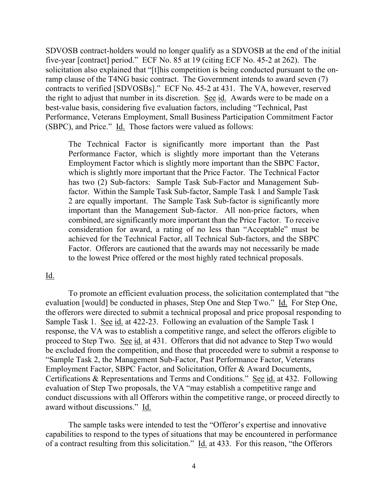SDVOSB contract-holders would no longer qualify as a SDVOSB at the end of the initial five-year [contract] period." ECF No. 85 at 19 (citing ECF No. 45-2 at 262). The solicitation also explained that "[t]his competition is being conducted pursuant to the onramp clause of the T4NG basic contract. The Government intends to award seven (7) contracts to verified [SDVOSBs]." ECF No. 45-2 at 431. The VA, however, reserved the right to adjust that number in its discretion. See id. Awards were to be made on a best-value basis, considering five evaluation factors, including "Technical, Past Performance, Veterans Employment, Small Business Participation Commitment Factor (SBPC), and Price." Id. Those factors were valued as follows:

The Technical Factor is significantly more important than the Past Performance Factor, which is slightly more important than the Veterans Employment Factor which is slightly more important than the SBPC Factor, which is slightly more important that the Price Factor. The Technical Factor has two (2) Sub-factors: Sample Task Sub-Factor and Management Subfactor. Within the Sample Task Sub-factor, Sample Task 1 and Sample Task 2 are equally important. The Sample Task Sub-factor is significantly more important than the Management Sub-factor. All non-price factors, when combined, are significantly more important than the Price Factor. To receive consideration for award, a rating of no less than "Acceptable" must be achieved for the Technical Factor, all Technical Sub-factors, and the SBPC Factor. Offerors are cautioned that the awards may not necessarily be made to the lowest Price offered or the most highly rated technical proposals.

## Id.

To promote an efficient evaluation process, the solicitation contemplated that "the evaluation [would] be conducted in phases, Step One and Step Two." Id. For Step One, the offerors were directed to submit a technical proposal and price proposal responding to Sample Task 1. See id. at 422-23. Following an evaluation of the Sample Task 1 response, the VA was to establish a competitive range, and select the offerors eligible to proceed to Step Two. See id. at 431. Offerors that did not advance to Step Two would be excluded from the competition, and those that proceeded were to submit a response to "Sample Task 2, the Management Sub-Factor, Past Performance Factor, Veterans Employment Factor, SBPC Factor, and Solicitation, Offer & Award Documents, Certifications & Representations and Terms and Conditions." See id. at 432. Following evaluation of Step Two proposals, the VA "may establish a competitive range and conduct discussions with all Offerors within the competitive range, or proceed directly to award without discussions." Id.

The sample tasks were intended to test the "Offeror's expertise and innovative capabilities to respond to the types of situations that may be encountered in performance of a contract resulting from this solicitation." Id. at 433. For this reason, "the Offerors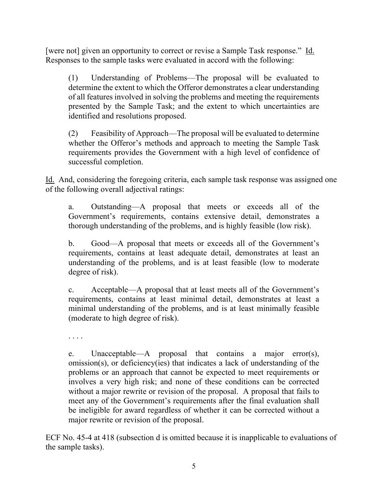[were not] given an opportunity to correct or revise a Sample Task response." Id. Responses to the sample tasks were evaluated in accord with the following:

(1) Understanding of Problems—The proposal will be evaluated to determine the extent to which the Offeror demonstrates a clear understanding of all features involved in solving the problems and meeting the requirements presented by the Sample Task; and the extent to which uncertainties are identified and resolutions proposed.

(2) Feasibility of Approach—The proposal will be evaluated to determine whether the Offeror's methods and approach to meeting the Sample Task requirements provides the Government with a high level of confidence of successful completion.

Id. And, considering the foregoing criteria, each sample task response was assigned one of the following overall adjectival ratings:

a. Outstanding—A proposal that meets or exceeds all of the Government's requirements, contains extensive detail, demonstrates a thorough understanding of the problems, and is highly feasible (low risk).

b. Good—A proposal that meets or exceeds all of the Government's requirements, contains at least adequate detail, demonstrates at least an understanding of the problems, and is at least feasible (low to moderate degree of risk).

c. Acceptable—A proposal that at least meets all of the Government's requirements, contains at least minimal detail, demonstrates at least a minimal understanding of the problems, and is at least minimally feasible (moderate to high degree of risk).

. . . .

e. Unacceptable—A proposal that contains a major error(s), omission(s), or deficiency(ies) that indicates a lack of understanding of the problems or an approach that cannot be expected to meet requirements or involves a very high risk; and none of these conditions can be corrected without a major rewrite or revision of the proposal. A proposal that fails to meet any of the Government's requirements after the final evaluation shall be ineligible for award regardless of whether it can be corrected without a major rewrite or revision of the proposal.

ECF No. 45-4 at 418 (subsection d is omitted because it is inapplicable to evaluations of the sample tasks).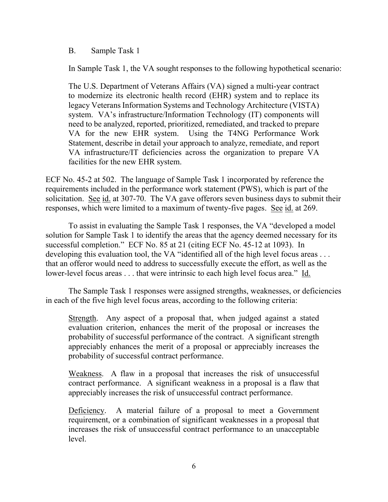#### B. Sample Task 1

In Sample Task 1, the VA sought responses to the following hypothetical scenario:

The U.S. Department of Veterans Affairs (VA) signed a multi-year contract to modernize its electronic health record (EHR) system and to replace its legacy Veterans Information Systems and Technology Architecture (VISTA) system. VA's infrastructure/Information Technology (IT) components will need to be analyzed, reported, prioritized, remediated, and tracked to prepare VA for the new EHR system. Using the T4NG Performance Work Statement, describe in detail your approach to analyze, remediate, and report VA infrastructure/IT deficiencies across the organization to prepare VA facilities for the new EHR system.

ECF No. 45-2 at 502. The language of Sample Task 1 incorporated by reference the requirements included in the performance work statement (PWS), which is part of the solicitation. See id. at 307-70. The VA gave offerors seven business days to submit their responses, which were limited to a maximum of twenty-five pages. See id. at 269.

To assist in evaluating the Sample Task 1 responses, the VA "developed a model solution for Sample Task 1 to identify the areas that the agency deemed necessary for its successful completion." ECF No. 85 at 21 (citing ECF No. 45-12 at 1093). In developing this evaluation tool, the VA "identified all of the high level focus areas . . . that an offeror would need to address to successfully execute the effort, as well as the lower-level focus areas . . . that were intrinsic to each high level focus area." Id.

The Sample Task 1 responses were assigned strengths, weaknesses, or deficiencies in each of the five high level focus areas, according to the following criteria:

Strength. Any aspect of a proposal that, when judged against a stated evaluation criterion, enhances the merit of the proposal or increases the probability of successful performance of the contract. A significant strength appreciably enhances the merit of a proposal or appreciably increases the probability of successful contract performance.

Weakness. A flaw in a proposal that increases the risk of unsuccessful contract performance. A significant weakness in a proposal is a flaw that appreciably increases the risk of unsuccessful contract performance.

Deficiency. A material failure of a proposal to meet a Government requirement, or a combination of significant weaknesses in a proposal that increases the risk of unsuccessful contract performance to an unacceptable level.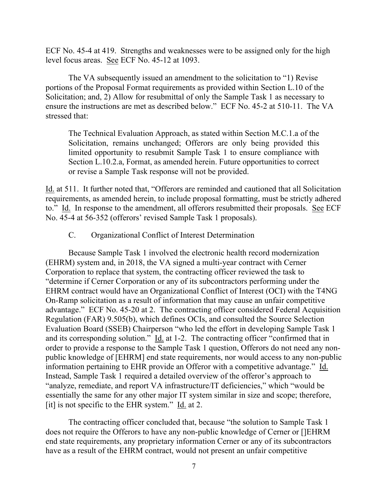ECF No. 45-4 at 419. Strengths and weaknesses were to be assigned only for the high level focus areas. See ECF No. 45-12 at 1093.

The VA subsequently issued an amendment to the solicitation to "1) Revise portions of the Proposal Format requirements as provided within Section L.10 of the Solicitation; and, 2) Allow for resubmittal of only the Sample Task 1 as necessary to ensure the instructions are met as described below." ECF No. 45-2 at 510-11. The VA stressed that:

The Technical Evaluation Approach, as stated within Section M.C.1.a of the Solicitation, remains unchanged; Offerors are only being provided this limited opportunity to resubmit Sample Task 1 to ensure compliance with Section L.10.2.a, Format, as amended herein. Future opportunities to correct or revise a Sample Task response will not be provided.

Id. at 511. It further noted that, "Offerors are reminded and cautioned that all Solicitation requirements, as amended herein, to include proposal formatting, must be strictly adhered to." Id. In response to the amendment, all offerors resubmitted their proposals. See ECF No. 45-4 at 56-352 (offerors' revised Sample Task 1 proposals).

#### C. Organizational Conflict of Interest Determination

Because Sample Task 1 involved the electronic health record modernization (EHRM) system and, in 2018, the VA signed a multi-year contract with Cerner Corporation to replace that system, the contracting officer reviewed the task to "determine if Cerner Corporation or any of its subcontractors performing under the EHRM contract would have an Organizational Conflict of Interest (OCI) with the T4NG On-Ramp solicitation as a result of information that may cause an unfair competitive advantage." ECF No. 45-20 at 2. The contracting officer considered Federal Acquisition Regulation (FAR) 9.505(b), which defines OCIs, and consulted the Source Selection Evaluation Board (SSEB) Chairperson "who led the effort in developing Sample Task 1 and its corresponding solution." Id. at 1-2. The contracting officer "confirmed that in order to provide a response to the Sample Task 1 question, Offerors do not need any nonpublic knowledge of [EHRM] end state requirements, nor would access to any non-public information pertaining to EHR provide an Offeror with a competitive advantage." Id. Instead, Sample Task 1 required a detailed overview of the offeror's approach to "analyze, remediate, and report VA infrastructure/IT deficiencies," which "would be essentially the same for any other major IT system similar in size and scope; therefore, [it] is not specific to the EHR system." Id. at 2.

The contracting officer concluded that, because "the solution to Sample Task 1 does not require the Offerors to have any non-public knowledge of Cerner or []EHRM end state requirements, any proprietary information Cerner or any of its subcontractors have as a result of the EHRM contract, would not present an unfair competitive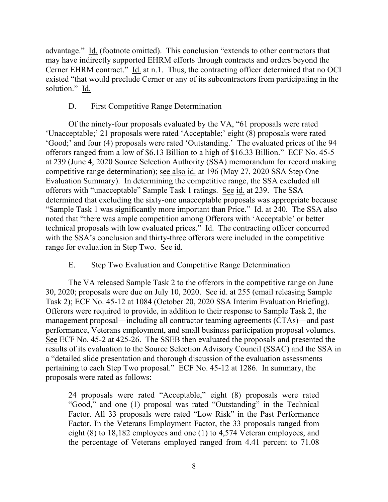advantage." Id. (footnote omitted). This conclusion "extends to other contractors that may have indirectly supported EHRM efforts through contracts and orders beyond the Cerner EHRM contract." Id. at n.1. Thus, the contracting officer determined that no OCI existed "that would preclude Cerner or any of its subcontractors from participating in the solution." Id.

#### D. First Competitive Range Determination

Of the ninety-four proposals evaluated by the VA, "61 proposals were rated 'Unacceptable;' 21 proposals were rated 'Acceptable;' eight (8) proposals were rated 'Good;' and four (4) proposals were rated 'Outstanding.' The evaluated prices of the 94 offerors ranged from a low of \$6.13 Billion to a high of \$16.33 Billion." ECF No. 45-5 at 239 (June 4, 2020 Source Selection Authority (SSA) memorandum for record making competitive range determination); see also id. at 196 (May 27, 2020 SSA Step One Evaluation Summary). In determining the competitive range, the SSA excluded all offerors with "unacceptable" Sample Task 1 ratings. See id. at 239. The SSA determined that excluding the sixty-one unacceptable proposals was appropriate because "Sample Task 1 was significantly more important than Price." Id. at 240. The SSA also noted that "there was ample competition among Offerors with 'Acceptable' or better technical proposals with low evaluated prices." Id. The contracting officer concurred with the SSA's conclusion and thirty-three offerors were included in the competitive range for evaluation in Step Two. See id.

## E. Step Two Evaluation and Competitive Range Determination

The VA released Sample Task 2 to the offerors in the competitive range on June 30, 2020; proposals were due on July 10, 2020. See id. at 255 (email releasing Sample Task 2); ECF No. 45-12 at 1084 (October 20, 2020 SSA Interim Evaluation Briefing). Offerors were required to provide, in addition to their response to Sample Task 2, the management proposal—including all contractor teaming agreements (CTAs)—and past performance, Veterans employment, and small business participation proposal volumes. See ECF No. 45-2 at 425-26. The SSEB then evaluated the proposals and presented the results of its evaluation to the Source Selection Advisory Council (SSAC) and the SSA in a "detailed slide presentation and thorough discussion of the evaluation assessments pertaining to each Step Two proposal." ECF No. 45-12 at 1286. In summary, the proposals were rated as follows:

24 proposals were rated "Acceptable," eight (8) proposals were rated "Good," and one (1) proposal was rated "Outstanding" in the Technical Factor. All 33 proposals were rated "Low Risk" in the Past Performance Factor. In the Veterans Employment Factor, the 33 proposals ranged from eight (8) to 18,182 employees and one (1) to 4,574 Veteran employees, and the percentage of Veterans employed ranged from 4.41 percent to 71.08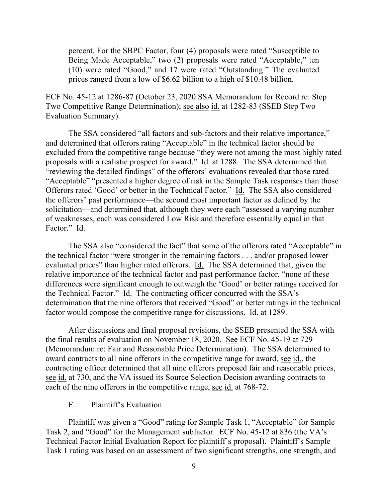percent. For the SBPC Factor, four (4) proposals were rated "Susceptible to Being Made Acceptable," two (2) proposals were rated "Acceptable," ten (10) were rated "Good," and 17 were rated "Outstanding." The evaluated prices ranged from a low of \$6.62 billion to a high of \$10.48 billion.

ECF No. 45-12 at 1286-87 (October 23, 2020 SSA Memorandum for Record re: Step Two Competitive Range Determination); see also id. at 1282-83 (SSEB Step Two Evaluation Summary).

The SSA considered "all factors and sub-factors and their relative importance," and determined that offerors rating "Acceptable" in the technical factor should be excluded from the competitive range because "they were not among the most highly rated proposals with a realistic prospect for award." Id. at 1288. The SSA determined that "reviewing the detailed findings" of the offerors' evaluations revealed that those rated "Acceptable" "presented a higher degree of risk in the Sample Task responses than those Offerors rated 'Good' or better in the Technical Factor." Id. The SSA also considered the offerors' past performance—the second most important factor as defined by the solicitation—and determined that, although they were each "assessed a varying number of weaknesses, each was considered Low Risk and therefore essentially equal in that Factor." Id.

The SSA also "considered the fact" that some of the offerors rated "Acceptable" in the technical factor "were stronger in the remaining factors . . . and/or proposed lower evaluated prices" than higher rated offerors. Id. The SSA determined that, given the relative importance of the technical factor and past performance factor, "none of these differences were significant enough to outweigh the 'Good' or better ratings received for the Technical Factor." Id. The contracting officer concurred with the SSA's determination that the nine offerors that received "Good" or better ratings in the technical factor would compose the competitive range for discussions. Id. at 1289.

After discussions and final proposal revisions, the SSEB presented the SSA with the final results of evaluation on November 18, 2020. See ECF No. 45-19 at 729 (Memorandum re: Fair and Reasonable Price Determination). The SSA determined to award contracts to all nine offerors in the competitive range for award, see id., the contracting officer determined that all nine offerors proposed fair and reasonable prices, see id. at 730, and the VA issued its Source Selection Decision awarding contracts to each of the nine offerors in the competitive range, see id. at 768-72.

## F. Plaintiff's Evaluation

Plaintiff was given a "Good" rating for Sample Task 1, "Acceptable" for Sample Task 2, and "Good" for the Management subfactor. ECF No. 45-12 at 836 (the VA's Technical Factor Initial Evaluation Report for plaintiff's proposal). Plaintiff's Sample Task 1 rating was based on an assessment of two significant strengths, one strength, and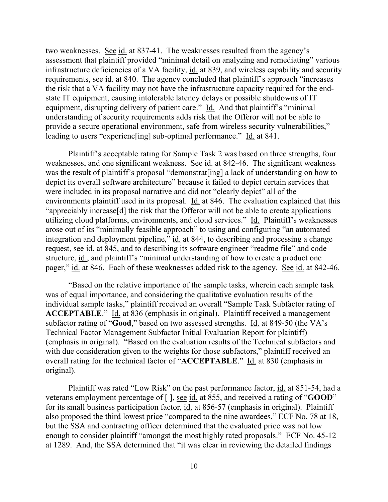two weaknesses. See id. at 837-41. The weaknesses resulted from the agency's assessment that plaintiff provided "minimal detail on analyzing and remediating" various infrastructure deficiencies of a VA facility, id. at 839, and wireless capability and security requirements, see id. at 840. The agency concluded that plaintiff's approach "increases the risk that a VA facility may not have the infrastructure capacity required for the endstate IT equipment, causing intolerable latency delays or possible shutdowns of IT equipment, disrupting delivery of patient care." Id. And that plaintiff's "minimal" understanding of security requirements adds risk that the Offeror will not be able to provide a secure operational environment, safe from wireless security vulnerabilities," leading to users "experienc[ing] sub-optimal performance." Id. at 841.

Plaintiff's acceptable rating for Sample Task 2 was based on three strengths, four weaknesses, and one significant weakness. See id. at 842-46. The significant weakness was the result of plaintiff's proposal "demonstrat[ing] a lack of understanding on how to depict its overall software architecture" because it failed to depict certain services that were included in its proposal narrative and did not "clearly depict" all of the environments plaintiff used in its proposal. Id. at 846. The evaluation explained that this "appreciably increase[d] the risk that the Offeror will not be able to create applications utilizing cloud platforms, environments, and cloud services." Id. Plaintiff's weaknesses arose out of its "minimally feasible approach" to using and configuring "an automated integration and deployment pipeline," id. at 844, to describing and processing a change request, see id. at 845, and to describing its software engineer "readme file" and code structure, id., and plaintiff's "minimal understanding of how to create a product one pager," id. at 846. Each of these weaknesses added risk to the agency. See id. at 842-46.

"Based on the relative importance of the sample tasks, wherein each sample task was of equal importance, and considering the qualitative evaluation results of the individual sample tasks," plaintiff received an overall "Sample Task Subfactor rating of **ACCEPTABLE**." Id. at 836 (emphasis in original). Plaintiff received a management subfactor rating of "**Good**," based on two assessed strengths. Id. at 849-50 (the VA's Technical Factor Management Subfactor Initial Evaluation Report for plaintiff) (emphasis in original). "Based on the evaluation results of the Technical subfactors and with due consideration given to the weights for those subfactors," plaintiff received an overall rating for the technical factor of "**ACCEPTABLE**." Id. at 830 (emphasis in original).

Plaintiff was rated "Low Risk" on the past performance factor, id. at 851-54, had a veterans employment percentage of [ ], see id. at 855, and received a rating of "**GOOD**" for its small business participation factor, id. at 856-57 (emphasis in original). Plaintiff also proposed the third lowest price "compared to the nine awardees," ECF No. 78 at 18, but the SSA and contracting officer determined that the evaluated price was not low enough to consider plaintiff "amongst the most highly rated proposals." ECF No. 45-12 at 1289. And, the SSA determined that "it was clear in reviewing the detailed findings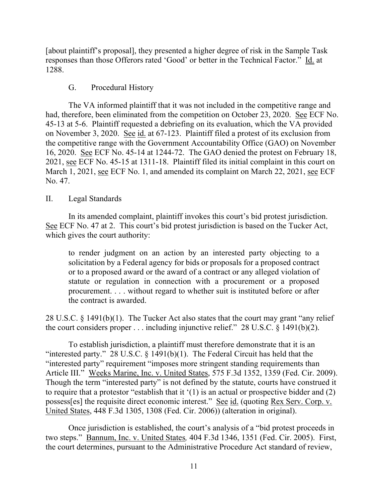[about plaintiff's proposal], they presented a higher degree of risk in the Sample Task responses than those Offerors rated 'Good' or better in the Technical Factor." Id. at 1288.

## G. Procedural History

The VA informed plaintiff that it was not included in the competitive range and had, therefore, been eliminated from the competition on October 23, 2020. See ECF No. 45-13 at 5-6. Plaintiff requested a debriefing on its evaluation, which the VA provided on November 3, 2020. See id. at 67-123. Plaintiff filed a protest of its exclusion from the competitive range with the Government Accountability Office (GAO) on November 16, 2020. See ECF No. 45-14 at 1244-72. The GAO denied the protest on February 18, 2021, see ECF No. 45-15 at 1311-18. Plaintiff filed its initial complaint in this court on March 1, 2021, see ECF No. 1, and amended its complaint on March 22, 2021, see ECF No. 47.

# II. Legal Standards

In its amended complaint, plaintiff invokes this court's bid protest jurisdiction. See ECF No. 47 at 2. This court's bid protest jurisdiction is based on the Tucker Act, which gives the court authority:

to render judgment on an action by an interested party objecting to a solicitation by a Federal agency for bids or proposals for a proposed contract or to a proposed award or the award of a contract or any alleged violation of statute or regulation in connection with a procurement or a proposed procurement. . . . without regard to whether suit is instituted before or after the contract is awarded.

28 U.S.C. § 1491(b)(1). The Tucker Act also states that the court may grant "any relief the court considers proper  $\dots$  including injunctive relief." 28 U.S.C. § 1491(b)(2).

To establish jurisdiction, a plaintiff must therefore demonstrate that it is an "interested party." 28 U.S.C.  $\S$  1491(b)(1). The Federal Circuit has held that the "interested party" requirement "imposes more stringent standing requirements than Article III." Weeks Marine, Inc. v. United States, 575 F.3d 1352, 1359 (Fed. Cir. 2009). Though the term "interested party" is not defined by the statute, courts have construed it to require that a protestor "establish that it '(1) is an actual or prospective bidder and (2) possess[es] the requisite direct economic interest." See id. (quoting Rex Serv. Corp. v. United States, 448 F.3d 1305, 1308 (Fed. Cir. 2006)) (alteration in original).

Once jurisdiction is established, the court's analysis of a "bid protest proceeds in two steps." Bannum, Inc. v. United States*,* 404 F.3d 1346, 1351 (Fed. Cir. 2005). First, the court determines, pursuant to the Administrative Procedure Act standard of review,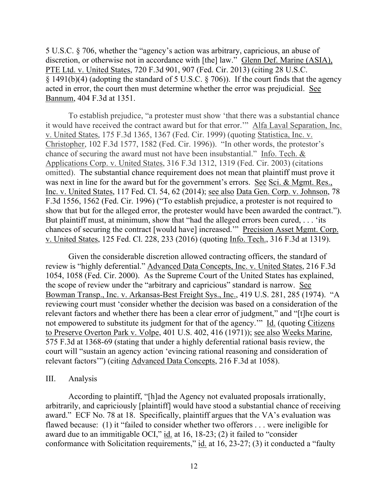5 U.S.C. § 706, whether the "agency's action was arbitrary, capricious, an abuse of discretion, or otherwise not in accordance with [the] law." Glenn Def. Marine (ASIA), PTE Ltd. v. United States, 720 F.3d 901, 907 (Fed. Cir. 2013) (citing 28 U.S.C. § 1491(b)(4) (adopting the standard of 5 U.S.C. § 706)). If the court finds that the agency acted in error, the court then must determine whether the error was prejudicial. See Bannum, 404 F.3d at 1351.

To establish prejudice, "a protester must show 'that there was a substantial chance it would have received the contract award but for that error.'" Alfa Laval Separation, Inc. v. United States, 175 F.3d 1365, 1367 (Fed. Cir. 1999) (quoting Statistica, Inc. v. Christopher, 102 F.3d 1577, 1582 (Fed. Cir. 1996)). "In other words, the protestor's chance of securing the award must not have been insubstantial." Info. Tech. & Applications Corp. v. United States, 316 F.3d 1312, 1319 (Fed. Cir. 2003) (citations omitted). The substantial chance requirement does not mean that plaintiff must prove it was next in line for the award but for the government's errors. See Sci. & Mgmt. Res., Inc. v. United States, 117 Fed. Cl. 54, 62 (2014); see also Data Gen. Corp. v. Johnson, 78 F.3d 1556, 1562 (Fed. Cir. 1996) ("To establish prejudice, a protester is not required to show that but for the alleged error, the protester would have been awarded the contract."). But plaintiff must, at minimum, show that "had the alleged errors been cured, ... 'its chances of securing the contract [would have] increased.'" Precision Asset Mgmt. Corp. v. United States, 125 Fed. Cl. 228, 233 (2016) (quoting Info. Tech., 316 F.3d at 1319).

Given the considerable discretion allowed contracting officers, the standard of review is "highly deferential." Advanced Data Concepts, Inc. v. United States, 216 F.3d 1054, 1058 (Fed. Cir. 2000). As the Supreme Court of the United States has explained, the scope of review under the "arbitrary and capricious" standard is narrow. See Bowman Transp., Inc. v. Arkansas-Best Freight Sys., Inc., 419 U.S. 281, 285 (1974). "A reviewing court must 'consider whether the decision was based on a consideration of the relevant factors and whether there has been a clear error of judgment," and "[t]he court is not empowered to substitute its judgment for that of the agency.'" Id. (quoting Citizens to Preserve Overton Park v. Volpe, 401 U.S. 402, 416 (1971)); see also Weeks Marine, 575 F.3d at 1368-69 (stating that under a highly deferential rational basis review, the court will "sustain an agency action 'evincing rational reasoning and consideration of relevant factors'") (citing Advanced Data Concepts, 216 F.3d at 1058).

#### III. Analysis

According to plaintiff, "[h]ad the Agency not evaluated proposals irrationally, arbitrarily, and capriciously [plaintiff] would have stood a substantial chance of receiving award." ECF No. 78 at 18. Specifically, plaintiff argues that the VA's evaluation was flawed because: (1) it "failed to consider whether two offerors . . . were ineligible for award due to an immitigable OCI," id. at 16, 18-23; (2) it failed to "consider conformance with Solicitation requirements," id. at 16, 23-27; (3) it conducted a "faulty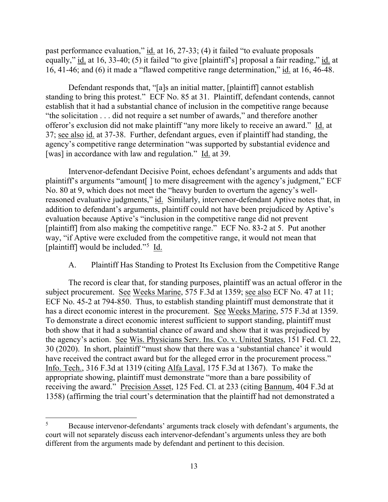past performance evaluation," id. at 16, 27-33; (4) it failed "to evaluate proposals equally," id. at 16, 33-40; (5) it failed "to give [plaintiff's] proposal a fair reading," id. at 16, 41-46; and (6) it made a "flawed competitive range determination," id. at 16, 46-48.

Defendant responds that, "[a]s an initial matter, [plaintiff] cannot establish standing to bring this protest." ECF No. 85 at 31. Plaintiff, defendant contends, cannot establish that it had a substantial chance of inclusion in the competitive range because "the solicitation . . . did not require a set number of awards," and therefore another offeror's exclusion did not make plaintiff "any more likely to receive an award." Id. at 37; see also id. at 37-38. Further, defendant argues, even if plaintiff had standing, the agency's competitive range determination "was supported by substantial evidence and [was] in accordance with law and regulation." Id. at 39.

Intervenor-defendant Decisive Point, echoes defendant's arguments and adds that plaintiff's arguments "amount[ ] to mere disagreement with the agency's judgment," ECF No. 80 at 9, which does not meet the "heavy burden to overturn the agency's wellreasoned evaluative judgments," id. Similarly, intervenor-defendant Aptive notes that, in addition to defendant's arguments, plaintiff could not have been prejudiced by Aptive's evaluation because Aptive's "inclusion in the competitive range did not prevent [plaintiff] from also making the competitive range." ECF No. 83-2 at 5. Put another way, "if Aptive were excluded from the competitive range, it would not mean that [plaintiff] would be included."<sup>5</sup> Id.

# A. Plaintiff Has Standing to Protest Its Exclusion from the Competitive Range

The record is clear that, for standing purposes, plaintiff was an actual offeror in the subject procurement. See Weeks Marine, 575 F.3d at 1359; see also ECF No. 47 at 11; ECF No. 45-2 at 794-850. Thus, to establish standing plaintiff must demonstrate that it has a direct economic interest in the procurement. See Weeks Marine, 575 F.3d at 1359. To demonstrate a direct economic interest sufficient to support standing, plaintiff must both show that it had a substantial chance of award and show that it was prejudiced by the agency's action. See Wis. Physicians Serv. Ins. Co. v. United States, 151 Fed. Cl. 22, 30 (2020). In short, plaintiff "must show that there was a 'substantial chance' it would have received the contract award but for the alleged error in the procurement process." Info. Tech., 316 F.3d at 1319 (citing Alfa Laval, 175 F.3d at 1367). To make the appropriate showing, plaintiff must demonstrate "more than a bare possibility of receiving the award." Precision Asset, 125 Fed. Cl. at 233 (citing Bannum, 404 F.3d at 1358) (affirming the trial court's determination that the plaintiff had not demonstrated a

<sup>&</sup>lt;sup>5</sup> Because intervenor-defendants' arguments track closely with defendant's arguments, the court will not separately discuss each intervenor-defendant's arguments unless they are both different from the arguments made by defendant and pertinent to this decision.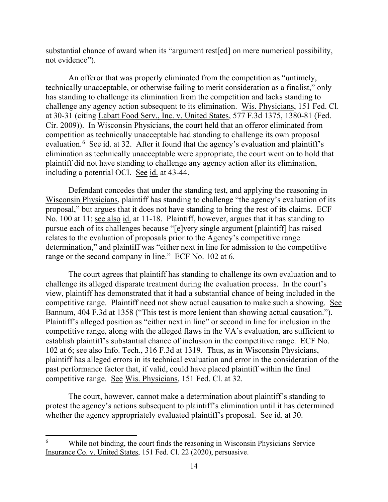substantial chance of award when its "argument rest[ed] on mere numerical possibility, not evidence").

An offeror that was properly eliminated from the competition as "untimely, technically unacceptable, or otherwise failing to merit consideration as a finalist," only has standing to challenge its elimination from the competition and lacks standing to challenge any agency action subsequent to its elimination. Wis. Physicians, 151 Fed. Cl. at 30-31 (citing Labatt Food Serv., Inc. v. United States, 577 F.3d 1375, 1380-81 (Fed. Cir. 2009)). In Wisconsin Physicians, the court held that an offeror eliminated from competition as technically unacceptable had standing to challenge its own proposal evaluation.<sup>6</sup> See id. at 32. After it found that the agency's evaluation and plaintiff's elimination as technically unacceptable were appropriate, the court went on to hold that plaintiff did not have standing to challenge any agency action after its elimination, including a potential OCI. See id. at 43-44.

Defendant concedes that under the standing test, and applying the reasoning in Wisconsin Physicians, plaintiff has standing to challenge "the agency's evaluation of its proposal," but argues that it does not have standing to bring the rest of its claims. ECF No. 100 at 11; see also id. at 11-18. Plaintiff, however, argues that it has standing to pursue each of its challenges because "[e]very single argument [plaintiff] has raised relates to the evaluation of proposals prior to the Agency's competitive range determination," and plaintiff was "either next in line for admission to the competitive range or the second company in line." ECF No. 102 at 6.

The court agrees that plaintiff has standing to challenge its own evaluation and to challenge its alleged disparate treatment during the evaluation process. In the court's view, plaintiff has demonstrated that it had a substantial chance of being included in the competitive range. Plaintiff need not show actual causation to make such a showing. See Bannum, 404 F.3d at 1358 ("This test is more lenient than showing actual causation."). Plaintiff's alleged position as "either next in line" or second in line for inclusion in the competitive range, along with the alleged flaws in the VA's evaluation, are sufficient to establish plaintiff's substantial chance of inclusion in the competitive range. ECF No. 102 at 6; see also Info. Tech., 316 F.3d at 1319. Thus, as in Wisconsin Physicians, plaintiff has alleged errors in its technical evaluation and error in the consideration of the past performance factor that, if valid, could have placed plaintiff within the final competitive range. See Wis. Physicians, 151 Fed. Cl. at 32.

The court, however, cannot make a determination about plaintiff's standing to protest the agency's actions subsequent to plaintiff's elimination until it has determined whether the agency appropriately evaluated plaintiff's proposal. See id. at 30.

<sup>6</sup> While not binding, the court finds the reasoning in Wisconsin Physicians Service Insurance Co. v. United States, 151 Fed. Cl. 22 (2020), persuasive.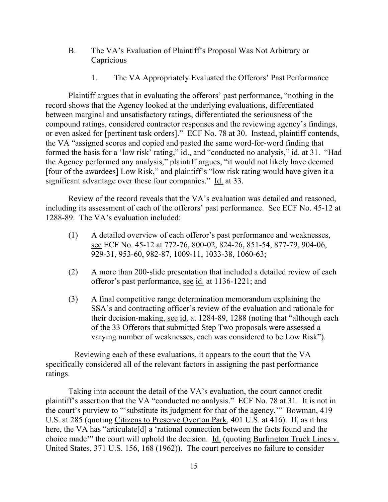- B. The VA's Evaluation of Plaintiff's Proposal Was Not Arbitrary or **Capricious** 
	- 1. The VA Appropriately Evaluated the Offerors' Past Performance

Plaintiff argues that in evaluating the offerors' past performance, "nothing in the record shows that the Agency looked at the underlying evaluations, differentiated between marginal and unsatisfactory ratings, differentiated the seriousness of the compound ratings, considered contractor responses and the reviewing agency's findings, or even asked for [pertinent task orders]." ECF No. 78 at 30. Instead, plaintiff contends, the VA "assigned scores and copied and pasted the same word-for-word finding that formed the basis for a 'low risk' rating," id., and "conducted no analysis," id. at 31. "Had the Agency performed any analysis," plaintiff argues, "it would not likely have deemed [four of the awardees] Low Risk," and plaintiff's "low risk rating would have given it a significant advantage over these four companies." Id. at 33.

Review of the record reveals that the VA's evaluation was detailed and reasoned, including its assessment of each of the offerors' past performance. See ECF No. 45-12 at 1288-89. The VA's evaluation included:

- (1) A detailed overview of each offeror's past performance and weaknesses, see ECF No. 45-12 at 772-76, 800-02, 824-26, 851-54, 877-79, 904-06, 929-31, 953-60, 982-87, 1009-11, 1033-38, 1060-63;
- (2) A more than 200-slide presentation that included a detailed review of each offeror's past performance, see id. at 1136-1221; and
- (3) A final competitive range determination memorandum explaining the SSA's and contracting officer's review of the evaluation and rationale for their decision-making, see id. at 1284-89, 1288 (noting that "although each of the 33 Offerors that submitted Step Two proposals were assessed a varying number of weaknesses, each was considered to be Low Risk").

 Reviewing each of these evaluations, it appears to the court that the VA specifically considered all of the relevant factors in assigning the past performance ratings.

Taking into account the detail of the VA's evaluation, the court cannot credit plaintiff's assertion that the VA "conducted no analysis." ECF No. 78 at 31. It is not in the court's purview to "'substitute its judgment for that of the agency." Bowman, 419 U.S. at 285 (quoting Citizens to Preserve Overton Park, 401 U.S. at 416). If, as it has here, the VA has "articulate<sup>[d]</sup> a 'rational connection between the facts found and the choice made'" the court will uphold the decision. Id. (quoting Burlington Truck Lines v. United States, 371 U.S. 156, 168 (1962)). The court perceives no failure to consider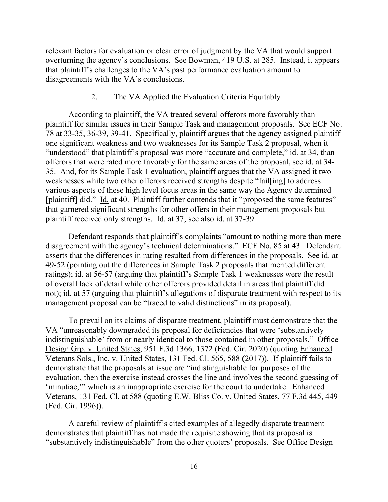relevant factors for evaluation or clear error of judgment by the VA that would support overturning the agency's conclusions. See Bowman, 419 U.S. at 285. Instead, it appears that plaintiff's challenges to the VA's past performance evaluation amount to disagreements with the VA's conclusions.

#### 2. The VA Applied the Evaluation Criteria Equitably

According to plaintiff, the VA treated several offerors more favorably than plaintiff for similar issues in their Sample Task and management proposals. See ECF No. 78 at 33-35, 36-39, 39-41. Specifically, plaintiff argues that the agency assigned plaintiff one significant weakness and two weaknesses for its Sample Task 2 proposal, when it "understood" that plaintiff's proposal was more "accurate and complete," id. at 34, than offerors that were rated more favorably for the same areas of the proposal, see id. at 34- 35. And, for its Sample Task 1 evaluation, plaintiff argues that the VA assigned it two weaknesses while two other offerors received strengths despite "fail[ing] to address various aspects of these high level focus areas in the same way the Agency determined [plaintiff] did." Id. at 40. Plaintiff further contends that it "proposed the same features" that garnered significant strengths for other offers in their management proposals but plaintiff received only strengths. Id. at 37; see also id. at 37-39.

Defendant responds that plaintiff's complaints "amount to nothing more than mere disagreement with the agency's technical determinations." ECF No. 85 at 43. Defendant asserts that the differences in rating resulted from differences in the proposals. See id. at 49-52 (pointing out the differences in Sample Task 2 proposals that merited different ratings); id. at 56-57 (arguing that plaintiff's Sample Task 1 weaknesses were the result of overall lack of detail while other offerors provided detail in areas that plaintiff did not); id. at 57 (arguing that plaintiff's allegations of disparate treatment with respect to its management proposal can be "traced to valid distinctions" in its proposal).

To prevail on its claims of disparate treatment, plaintiff must demonstrate that the VA "unreasonably downgraded its proposal for deficiencies that were 'substantively indistinguishable' from or nearly identical to those contained in other proposals." Office Design Grp. v. United States, 951 F.3d 1366, 1372 (Fed. Cir. 2020) (quoting Enhanced Veterans Sols., Inc. v. United States, 131 Fed. Cl. 565, 588 (2017)). If plaintiff fails to demonstrate that the proposals at issue are "indistinguishable for purposes of the evaluation, then the exercise instead crosses the line and involves the second guessing of 'minutiae,'" which is an inappropriate exercise for the court to undertake. Enhanced Veterans, 131 Fed. Cl. at 588 (quoting E.W. Bliss Co. v. United States, 77 F.3d 445, 449 (Fed. Cir. 1996)).

A careful review of plaintiff's cited examples of allegedly disparate treatment demonstrates that plaintiff has not made the requisite showing that its proposal is "substantively indistinguishable" from the other quoters' proposals. See Office Design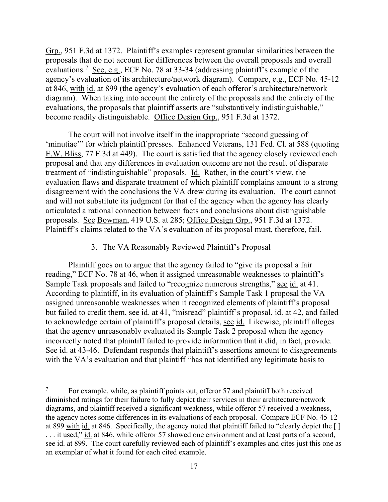Grp., 951 F.3d at 1372. Plaintiff's examples represent granular similarities between the proposals that do not account for differences between the overall proposals and overall evaluations.<sup>7</sup> See, e.g., ECF No. 78 at 33-34 (addressing plaintiff's example of the agency's evaluation of its architecture/network diagram). Compare, e.g., ECF No. 45-12 at 846, with id. at 899 (the agency's evaluation of each offeror's architecture/network diagram). When taking into account the entirety of the proposals and the entirety of the evaluations, the proposals that plaintiff asserts are "substantively indistinguishable," become readily distinguishable. Office Design Grp., 951 F.3d at 1372.

The court will not involve itself in the inappropriate "second guessing of 'minutiae'" for which plaintiff presses. Enhanced Veterans, 131 Fed. Cl. at 588 (quoting E.W. Bliss, 77 F.3d at 449). The court is satisfied that the agency closely reviewed each proposal and that any differences in evaluation outcome are not the result of disparate treatment of "indistinguishable" proposals. Id. Rather, in the court's view, the evaluation flaws and disparate treatment of which plaintiff complains amount to a strong disagreement with the conclusions the VA drew during its evaluation. The court cannot and will not substitute its judgment for that of the agency when the agency has clearly articulated a rational connection between facts and conclusions about distinguishable proposals. See Bowman, 419 U.S. at 285; Office Design Grp., 951 F.3d at 1372. Plaintiff's claims related to the VA's evaluation of its proposal must, therefore, fail.

#### 3. The VA Reasonably Reviewed Plaintiff's Proposal

Plaintiff goes on to argue that the agency failed to "give its proposal a fair reading," ECF No. 78 at 46, when it assigned unreasonable weaknesses to plaintiff's Sample Task proposals and failed to "recognize numerous strengths," see id. at 41. According to plaintiff, in its evaluation of plaintiff's Sample Task 1 proposal the VA assigned unreasonable weaknesses when it recognized elements of plaintiff's proposal but failed to credit them, see id. at 41, "misread" plaintiff's proposal, id. at 42, and failed to acknowledge certain of plaintiff's proposal details, see id. Likewise, plaintiff alleges that the agency unreasonably evaluated its Sample Task 2 proposal when the agency incorrectly noted that plaintiff failed to provide information that it did, in fact, provide. See id. at 43-46. Defendant responds that plaintiff's assertions amount to disagreements with the VA's evaluation and that plaintiff "has not identified any legitimate basis to

For example, while, as plaintiff points out, offeror 57 and plaintiff both received diminished ratings for their failure to fully depict their services in their architecture/network diagrams, and plaintiff received a significant weakness, while offeror 57 received a weakness, the agency notes some differences in its evaluations of each proposal. Compare ECF No. 45-12 at 899 with id. at 846. Specifically, the agency noted that plaintiff failed to "clearly depict the [ ] . . . it used," id. at 846, while offeror 57 showed one environment and at least parts of a second, see id. at 899. The court carefully reviewed each of plaintiff's examples and cites just this one as an exemplar of what it found for each cited example.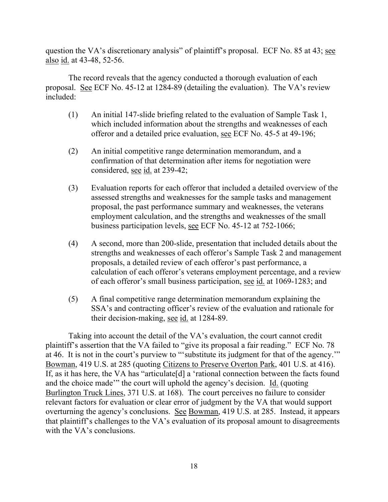question the VA's discretionary analysis" of plaintiff's proposal. ECF No. 85 at 43; see also id. at 43-48, 52-56.

The record reveals that the agency conducted a thorough evaluation of each proposal. See ECF No. 45-12 at 1284-89 (detailing the evaluation). The VA's review included:

- (1) An initial 147-slide briefing related to the evaluation of Sample Task 1, which included information about the strengths and weaknesses of each offeror and a detailed price evaluation, see ECF No. 45-5 at 49-196;
- (2) An initial competitive range determination memorandum, and a confirmation of that determination after items for negotiation were considered, <u>see id.</u> at 239-42;
- (3) Evaluation reports for each offeror that included a detailed overview of the assessed strengths and weaknesses for the sample tasks and management proposal, the past performance summary and weaknesses, the veterans employment calculation, and the strengths and weaknesses of the small business participation levels, see ECF No. 45-12 at 752-1066;
- (4) A second, more than 200-slide, presentation that included details about the strengths and weaknesses of each offeror's Sample Task 2 and management proposals, a detailed review of each offeror's past performance, a calculation of each offeror's veterans employment percentage, and a review of each offeror's small business participation, see id. at 1069-1283; and
- (5) A final competitive range determination memorandum explaining the SSA's and contracting officer's review of the evaluation and rationale for their decision-making, see id. at 1284-89.

Taking into account the detail of the VA's evaluation, the court cannot credit plaintiff's assertion that the VA failed to "give its proposal a fair reading." ECF No. 78 at 46. It is not in the court's purview to "'substitute its judgment for that of the agency.'" Bowman, 419 U.S. at 285 (quoting Citizens to Preserve Overton Park, 401 U.S. at 416). If, as it has here, the VA has "articulate[d] a 'rational connection between the facts found and the choice made'" the court will uphold the agency's decision. Id. (quoting Burlington Truck Lines, 371 U.S. at 168). The court perceives no failure to consider relevant factors for evaluation or clear error of judgment by the VA that would support overturning the agency's conclusions. See Bowman, 419 U.S. at 285. Instead, it appears that plaintiff's challenges to the VA's evaluation of its proposal amount to disagreements with the VA's conclusions.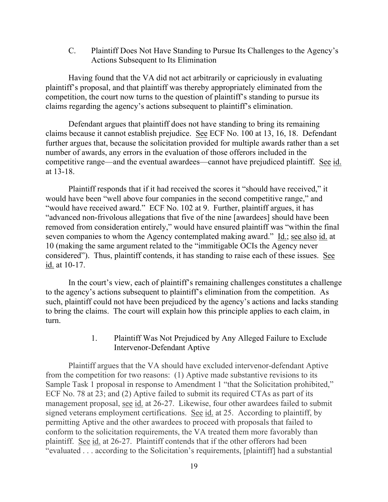C. Plaintiff Does Not Have Standing to Pursue Its Challenges to the Agency's Actions Subsequent to Its Elimination

Having found that the VA did not act arbitrarily or capriciously in evaluating plaintiff's proposal, and that plaintiff was thereby appropriately eliminated from the competition, the court now turns to the question of plaintiff's standing to pursue its claims regarding the agency's actions subsequent to plaintiff's elimination.

Defendant argues that plaintiff does not have standing to bring its remaining claims because it cannot establish prejudice. See ECF No. 100 at 13, 16, 18. Defendant further argues that, because the solicitation provided for multiple awards rather than a set number of awards, any errors in the evaluation of those offerors included in the competitive range—and the eventual awardees—cannot have prejudiced plaintiff. See id. at 13-18.

Plaintiff responds that if it had received the scores it "should have received," it would have been "well above four companies in the second competitive range," and "would have received award." ECF No. 102 at 9. Further, plaintiff argues, it has "advanced non-frivolous allegations that five of the nine [awardees] should have been removed from consideration entirely," would have ensured plaintiff was "within the final seven companies to whom the Agency contemplated making award." Id.; see also id. at 10 (making the same argument related to the "immitigable OCIs the Agency never considered"). Thus, plaintiff contends, it has standing to raise each of these issues. See id. at 10-17.

In the court's view, each of plaintiff's remaining challenges constitutes a challenge to the agency's actions subsequent to plaintiff's elimination from the competition. As such, plaintiff could not have been prejudiced by the agency's actions and lacks standing to bring the claims. The court will explain how this principle applies to each claim, in turn.

## 1. Plaintiff Was Not Prejudiced by Any Alleged Failure to Exclude Intervenor-Defendant Aptive

Plaintiff argues that the VA should have excluded intervenor-defendant Aptive from the competition for two reasons: (1) Aptive made substantive revisions to its Sample Task 1 proposal in response to Amendment 1 "that the Solicitation prohibited," ECF No. 78 at 23; and (2) Aptive failed to submit its required CTAs as part of its management proposal, see id. at 26-27. Likewise, four other awardees failed to submit signed veterans employment certifications. See id. at 25. According to plaintiff, by permitting Aptive and the other awardees to proceed with proposals that failed to conform to the solicitation requirements, the VA treated them more favorably than plaintiff. See id. at 26-27. Plaintiff contends that if the other offerors had been "evaluated . . . according to the Solicitation's requirements, [plaintiff] had a substantial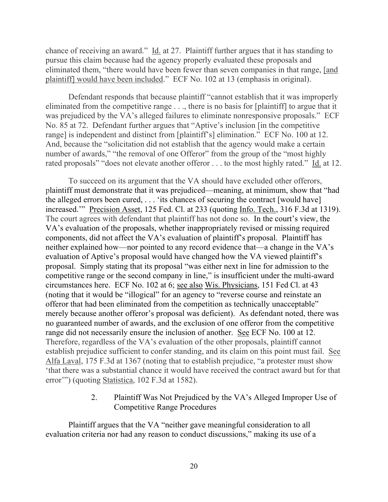chance of receiving an award." Id. at 27. Plaintiff further argues that it has standing to pursue this claim because had the agency properly evaluated these proposals and eliminated them, "there would have been fewer than seven companies in that range, [and plaintiff] would have been included." ECF No. 102 at 13 (emphasis in original).

Defendant responds that because plaintiff "cannot establish that it was improperly eliminated from the competitive range . . ., there is no basis for [plaintiff] to argue that it was prejudiced by the VA's alleged failures to eliminate nonresponsive proposals." ECF No. 85 at 72. Defendant further argues that "Aptive's inclusion [in the competitive range] is independent and distinct from [plaintiff's] elimination." ECF No. 100 at 12. And, because the "solicitation did not establish that the agency would make a certain number of awards," "the removal of one Offeror" from the group of the "most highly rated proposals" "does not elevate another offeror . . . to the most highly rated." Id. at 12.

To succeed on its argument that the VA should have excluded other offerors, plaintiff must demonstrate that it was prejudiced—meaning, at minimum, show that "had the alleged errors been cured, . . . 'its chances of securing the contract [would have] increased.'" Precision Asset, 125 Fed. Cl. at 233 (quoting Info. Tech., 316 F.3d at 1319). The court agrees with defendant that plaintiff has not done so. In the court's view, the VA's evaluation of the proposals, whether inappropriately revised or missing required components, did not affect the VA's evaluation of plaintiff's proposal. Plaintiff has neither explained how—nor pointed to any record evidence that—a change in the VA's evaluation of Aptive's proposal would have changed how the VA viewed plaintiff's proposal. Simply stating that its proposal "was either next in line for admission to the competitive range or the second company in line," is insufficient under the multi-award circumstances here. ECF No. 102 at 6; see also Wis. Physicians, 151 Fed Cl. at 43 (noting that it would be "illogical" for an agency to "reverse course and reinstate an offeror that had been eliminated from the competition as technically unacceptable" merely because another offeror's proposal was deficient). As defendant noted, there was no guaranteed number of awards, and the exclusion of one offeror from the competitive range did not necessarily ensure the inclusion of another. See ECF No. 100 at 12. Therefore, regardless of the VA's evaluation of the other proposals, plaintiff cannot establish prejudice sufficient to confer standing, and its claim on this point must fail. See Alfa Laval, 175 F.3d at 1367 (noting that to establish prejudice, "a protester must show 'that there was a substantial chance it would have received the contract award but for that error'") (quoting Statistica, 102 F.3d at 1582).

## 2. Plaintiff Was Not Prejudiced by the VA's Alleged Improper Use of Competitive Range Procedures

Plaintiff argues that the VA "neither gave meaningful consideration to all evaluation criteria nor had any reason to conduct discussions," making its use of a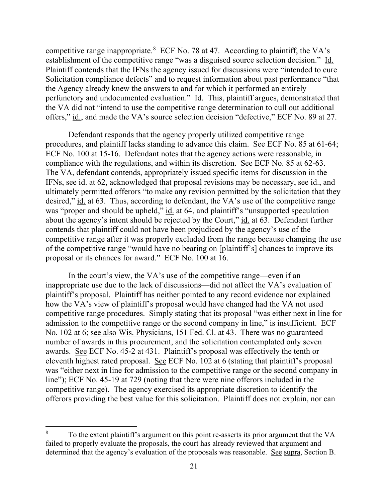competitive range inappropriate.<sup>8</sup> ECF No. 78 at 47. According to plaintiff, the VA's establishment of the competitive range "was a disguised source selection decision." Id. Plaintiff contends that the IFNs the agency issued for discussions were "intended to cure Solicitation compliance defects" and to request information about past performance "that the Agency already knew the answers to and for which it performed an entirely perfunctory and undocumented evaluation." Id. This, plaintiff argues, demonstrated that the VA did not "intend to use the competitive range determination to cull out additional offers," id., and made the VA's source selection decision "defective," ECF No. 89 at 27.

Defendant responds that the agency properly utilized competitive range procedures, and plaintiff lacks standing to advance this claim. See ECF No. 85 at 61-64; ECF No. 100 at 15-16. Defendant notes that the agency actions were reasonable, in compliance with the regulations, and within its discretion. See ECF No. 85 at 62-63. The VA, defendant contends, appropriately issued specific items for discussion in the IFNs, see id. at 62, acknowledged that proposal revisions may be necessary, see id., and ultimately permitted offerors "to make any revision permitted by the solicitation that they desired," id. at 63. Thus, according to defendant, the VA's use of the competitive range was "proper and should be upheld," id. at 64, and plaintiff's "unsupported speculation" about the agency's intent should be rejected by the Court," id. at 63. Defendant further contends that plaintiff could not have been prejudiced by the agency's use of the competitive range after it was properly excluded from the range because changing the use of the competitive range "would have no bearing on [plaintiff's] chances to improve its proposal or its chances for award." ECF No. 100 at 16.

In the court's view, the VA's use of the competitive range—even if an inappropriate use due to the lack of discussions—did not affect the VA's evaluation of plaintiff's proposal. Plaintiff has neither pointed to any record evidence nor explained how the VA's view of plaintiff's proposal would have changed had the VA not used competitive range procedures. Simply stating that its proposal "was either next in line for admission to the competitive range or the second company in line," is insufficient. ECF No. 102 at 6; see also Wis. Physicians, 151 Fed. Cl. at 43. There was no guaranteed number of awards in this procurement, and the solicitation contemplated only seven awards. See ECF No. 45-2 at 431. Plaintiff's proposal was effectively the tenth or eleventh highest rated proposal. See ECF No. 102 at 6 (stating that plaintiff's proposal was "either next in line for admission to the competitive range or the second company in line"); ECF No. 45-19 at 729 (noting that there were nine offerors included in the competitive range). The agency exercised its appropriate discretion to identify the offerors providing the best value for this solicitation. Plaintiff does not explain, nor can

<sup>&</sup>lt;sup>8</sup> To the extent plaintiff's argument on this point re-asserts its prior argument that the VA failed to properly evaluate the proposals, the court has already reviewed that argument and determined that the agency's evaluation of the proposals was reasonable. See supra, Section B.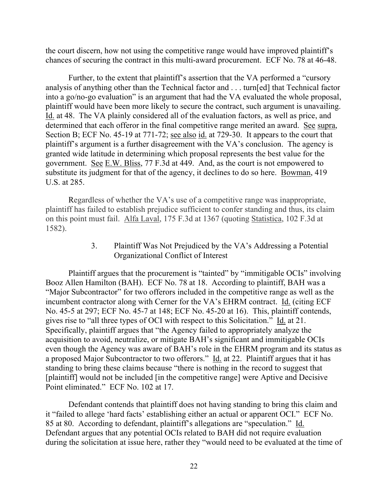the court discern, how not using the competitive range would have improved plaintiff's chances of securing the contract in this multi-award procurement. ECF No. 78 at 46-48.

Further, to the extent that plaintiff's assertion that the VA performed a "cursory analysis of anything other than the Technical factor and . . . turn[ed] that Technical factor into a go/no-go evaluation" is an argument that had the VA evaluated the whole proposal, plaintiff would have been more likely to secure the contract, such argument is unavailing. Id. at 48. The VA plainly considered all of the evaluation factors, as well as price, and determined that each offeror in the final competitive range merited an award. See supra, Section B; ECF No. 45-19 at 771-72; see also id. at 729-30. It appears to the court that plaintiff's argument is a further disagreement with the VA's conclusion. The agency is granted wide latitude in determining which proposal represents the best value for the government. See E.W. Bliss, 77 F.3d at 449. And, as the court is not empowered to substitute its judgment for that of the agency, it declines to do so here. Bowman, 419 U.S. at 285.

Regardless of whether the VA's use of a competitive range was inappropriate, plaintiff has failed to establish prejudice sufficient to confer standing and thus, its claim on this point must fail. Alfa Laval, 175 F.3d at 1367 (quoting Statistica, 102 F.3d at 1582).

> 3. Plaintiff Was Not Prejudiced by the VA's Addressing a Potential Organizational Conflict of Interest

Plaintiff argues that the procurement is "tainted" by "immitigable OCIs" involving Booz Allen Hamilton (BAH). ECF No. 78 at 18. According to plaintiff, BAH was a "Major Subcontractor" for two offerors included in the competitive range as well as the incumbent contractor along with Cerner for the VA's EHRM contract. Id. (citing ECF No. 45-5 at 297; ECF No. 45-7 at 148; ECF No. 45-20 at 16). This, plaintiff contends, gives rise to "all three types of OCI with respect to this Solicitation." Id. at 21. Specifically, plaintiff argues that "the Agency failed to appropriately analyze the acquisition to avoid, neutralize, or mitigate BAH's significant and immitigable OCIs even though the Agency was aware of BAH's role in the EHRM program and its status as a proposed Major Subcontractor to two offerors." Id. at 22. Plaintiff argues that it has standing to bring these claims because "there is nothing in the record to suggest that [plaintiff] would not be included [in the competitive range] were Aptive and Decisive Point eliminated." ECF No. 102 at 17.

Defendant contends that plaintiff does not having standing to bring this claim and it "failed to allege 'hard facts' establishing either an actual or apparent OCI." ECF No. 85 at 80. According to defendant, plaintiff's allegations are "speculation." Id. Defendant argues that any potential OCIs related to BAH did not require evaluation during the solicitation at issue here, rather they "would need to be evaluated at the time of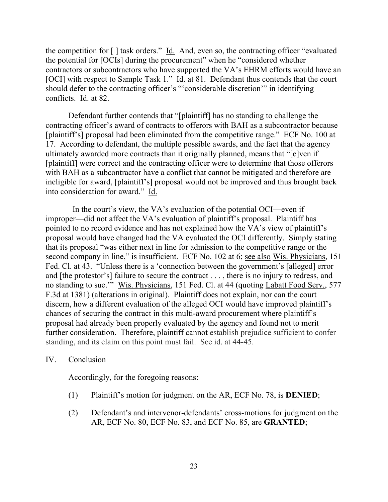the competition for [ ] task orders." Id. And, even so, the contracting officer "evaluated the potential for [OCIs] during the procurement" when he "considered whether contractors or subcontractors who have supported the VA's EHRM efforts would have an [OCI] with respect to Sample Task 1." Id. at 81. Defendant thus contends that the court should defer to the contracting officer's "'considerable discretion'" in identifying conflicts. Id. at 82.

Defendant further contends that "[plaintiff] has no standing to challenge the contracting officer's award of contracts to offerors with BAH as a subcontractor because [plaintiff's] proposal had been eliminated from the competitive range." ECF No. 100 at 17. According to defendant, the multiple possible awards, and the fact that the agency ultimately awarded more contracts than it originally planned, means that "[e]ven if [plaintiff] were correct and the contracting officer were to determine that those offerors with BAH as a subcontractor have a conflict that cannot be mitigated and therefore are ineligible for award, [plaintiff's] proposal would not be improved and thus brought back into consideration for award." Id.

 In the court's view, the VA's evaluation of the potential OCI—even if improper—did not affect the VA's evaluation of plaintiff's proposal. Plaintiff has pointed to no record evidence and has not explained how the VA's view of plaintiff's proposal would have changed had the VA evaluated the OCI differently. Simply stating that its proposal "was either next in line for admission to the competitive range or the second company in line," is insufficient. ECF No. 102 at 6; see also Wis. Physicians, 151 Fed. Cl. at 43. "Unless there is a 'connection between the government's [alleged] error and [the protestor's] failure to secure the contract . . . , there is no injury to redress, and no standing to sue.'" Wis. Physicians, 151 Fed. Cl. at 44 (quoting Labatt Food Serv., 577 F.3d at 1381) (alterations in original). Plaintiff does not explain, nor can the court discern, how a different evaluation of the alleged OCI would have improved plaintiff's chances of securing the contract in this multi-award procurement where plaintiff's proposal had already been properly evaluated by the agency and found not to merit further consideration. Therefore, plaintiff cannot establish prejudice sufficient to confer standing, and its claim on this point must fail. See id. at 44-45.

#### IV. Conclusion

Accordingly, for the foregoing reasons:

- (1) Plaintiff's motion for judgment on the AR, ECF No. 78, is **DENIED**;
- (2) Defendant's and intervenor-defendants' cross-motions for judgment on the AR, ECF No. 80, ECF No. 83, and ECF No. 85, are **GRANTED**;